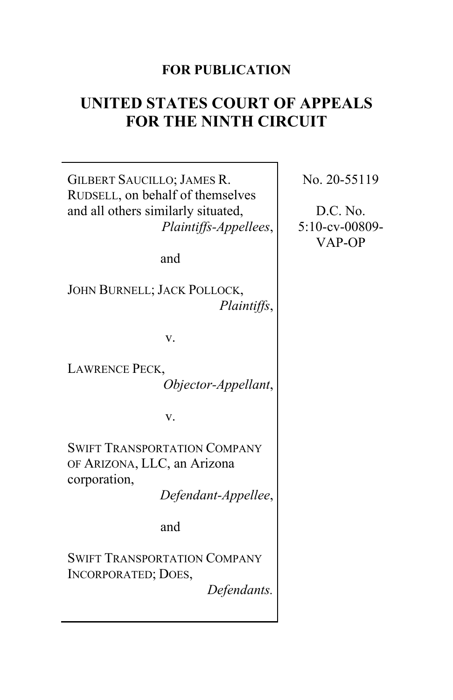# **FOR PUBLICATION**

# **UNITED STATES COURT OF APPEALS FOR THE NINTH CIRCUIT**

GILBERT SAUCILLO; JAMES R. RUDSELL, on behalf of themselves and all others similarly situated, *Plaintiffs-Appellees*,

and

JOHN BURNELL; JACK POLLOCK, *Plaintiffs*,

v.

LAWRENCE PECK, *Objector-Appellant*,

v.

SWIFT TRANSPORTATION COMPANY OF ARIZONA, LLC, an Arizona corporation,

*Defendant-Appellee*,

and

SWIFT TRANSPORTATION COMPANY INCORPORATED; DOES,

*Defendants.*

No. 20-55119

D.C. No. 5:10-cv-00809- VAP-OP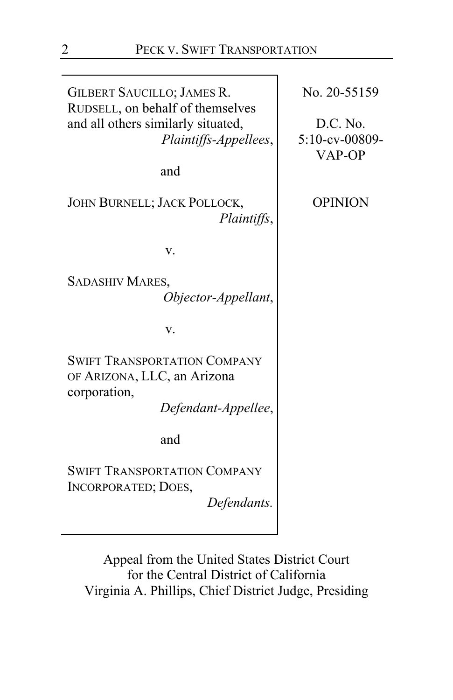GILBERT SAUCILLO; JAMES R. RUDSELL, on behalf of themselves and all others similarly situated, *Plaintiffs-Appellees*, and JOHN BURNELL; JACK POLLOCK, *Plaintiffs*, v. SADASHIV MARES, *Objector-Appellant*, v. SWIFT TRANSPORTATION COMPANY OF ARIZONA, LLC, an Arizona corporation, *Defendant-Appellee*, and SWIFT TRANSPORTATION COMPANY INCORPORATED; DOES, *Defendants.* No. 20-55159 D.C. No. 5:10-cv-00809- VAP-OP OPINION

Appeal from the United States District Court for the Central District of California Virginia A. Phillips, Chief District Judge, Presiding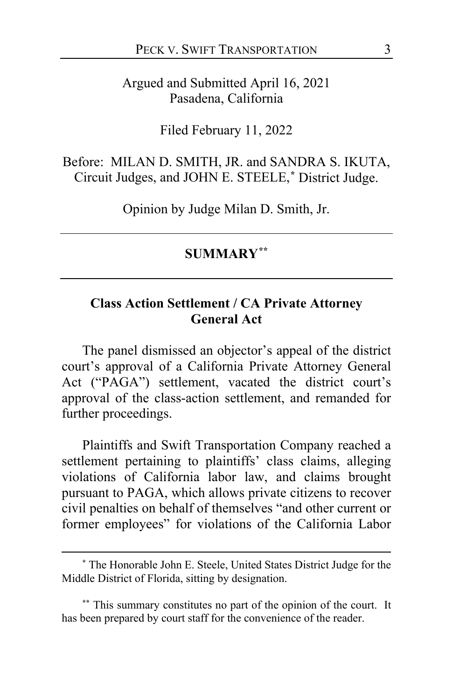Argued and Submitted April 16, 2021 Pasadena, California

Filed February 11, 2022

Before: MILAN D. SMITH, JR. and SANDRA S. IKUTA, Circuit Judges, and JOHN E. STEELE,**[\\*](#page-2-0)** District Judge.

Opinion by Judge Milan D. Smith, Jr.

### **SUMMARY[\\*\\*](#page-2-1)**

# **Class Action Settlement / CA Private Attorney General Act**

The panel dismissed an objector's appeal of the district court's approval of a California Private Attorney General Act ("PAGA") settlement, vacated the district court's approval of the class-action settlement, and remanded for further proceedings.

Plaintiffs and Swift Transportation Company reached a settlement pertaining to plaintiffs' class claims, alleging violations of California labor law, and claims brought pursuant to PAGA, which allows private citizens to recover civil penalties on behalf of themselves "and other current or former employees" for violations of the California Labor

<span id="page-2-0"></span>**<sup>\*</sup>** The Honorable John E. Steele, United States District Judge for the Middle District of Florida, sitting by designation.

<span id="page-2-1"></span>**<sup>\*\*</sup>** This summary constitutes no part of the opinion of the court. It has been prepared by court staff for the convenience of the reader.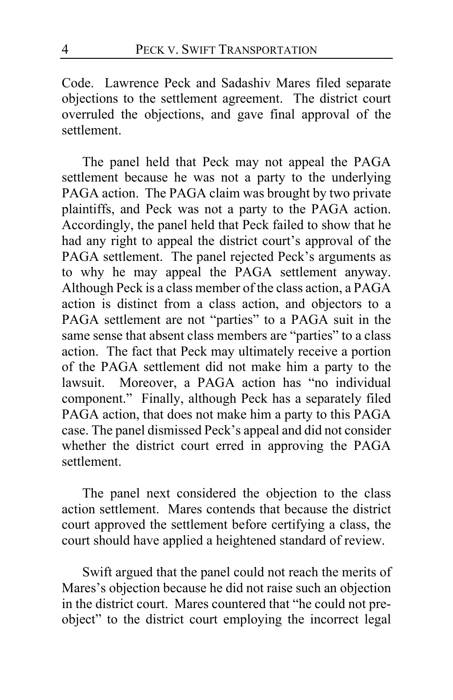Code. Lawrence Peck and Sadashiv Mares filed separate objections to the settlement agreement. The district court overruled the objections, and gave final approval of the settlement.

The panel held that Peck may not appeal the PAGA settlement because he was not a party to the underlying PAGA action. The PAGA claim was brought by two private plaintiffs, and Peck was not a party to the PAGA action. Accordingly, the panel held that Peck failed to show that he had any right to appeal the district court's approval of the PAGA settlement. The panel rejected Peck's arguments as to why he may appeal the PAGA settlement anyway. Although Peck is a class member of the class action, a PAGA action is distinct from a class action, and objectors to a PAGA settlement are not "parties" to a PAGA suit in the same sense that absent class members are "parties" to a class action. The fact that Peck may ultimately receive a portion of the PAGA settlement did not make him a party to the lawsuit. Moreover, a PAGA action has "no individual component." Finally, although Peck has a separately filed PAGA action, that does not make him a party to this PAGA case. The panel dismissed Peck's appeal and did not consider whether the district court erred in approving the PAGA settlement.

The panel next considered the objection to the class action settlement. Mares contends that because the district court approved the settlement before certifying a class, the court should have applied a heightened standard of review.

Swift argued that the panel could not reach the merits of Mares's objection because he did not raise such an objection in the district court. Mares countered that "he could not preobject" to the district court employing the incorrect legal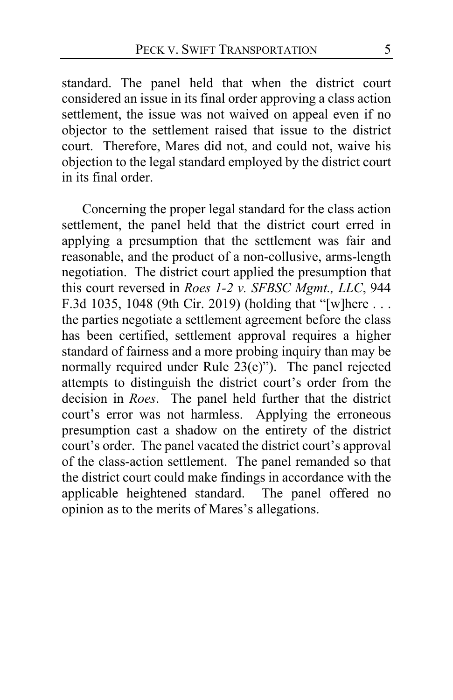standard. The panel held that when the district court considered an issue in its final order approving a class action settlement, the issue was not waived on appeal even if no objector to the settlement raised that issue to the district court. Therefore, Mares did not, and could not, waive his objection to the legal standard employed by the district court in its final order.

Concerning the proper legal standard for the class action settlement, the panel held that the district court erred in applying a presumption that the settlement was fair and reasonable, and the product of a non-collusive, arms-length negotiation. The district court applied the presumption that this court reversed in *Roes 1-2 v. SFBSC Mgmt., LLC*, 944 F.3d 1035, 1048 (9th Cir. 2019) (holding that "[w]here . . . the parties negotiate a settlement agreement before the class has been certified, settlement approval requires a higher standard of fairness and a more probing inquiry than may be normally required under Rule 23(e)"). The panel rejected attempts to distinguish the district court's order from the decision in *Roes*. The panel held further that the district court's error was not harmless. Applying the erroneous presumption cast a shadow on the entirety of the district court's order. The panel vacated the district court's approval of the class-action settlement. The panel remanded so that the district court could make findings in accordance with the applicable heightened standard. The panel offered no opinion as to the merits of Mares's allegations.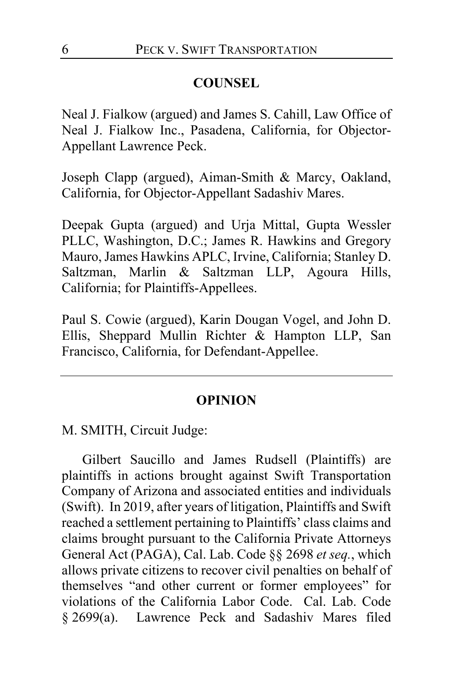### **COUNSEL**

Neal J. Fialkow (argued) and James S. Cahill, Law Office of Neal J. Fialkow Inc., Pasadena, California, for Objector-Appellant Lawrence Peck.

Joseph Clapp (argued), Aiman-Smith & Marcy, Oakland, California, for Objector-Appellant Sadashiv Mares.

Deepak Gupta (argued) and Urja Mittal, Gupta Wessler PLLC, Washington, D.C.; James R. Hawkins and Gregory Mauro, James Hawkins APLC, Irvine, California; Stanley D. Saltzman, Marlin & Saltzman LLP, Agoura Hills, California; for Plaintiffs-Appellees.

Paul S. Cowie (argued), Karin Dougan Vogel, and John D. Ellis, Sheppard Mullin Richter & Hampton LLP, San Francisco, California, for Defendant-Appellee.

#### **OPINION**

M. SMITH, Circuit Judge:

Gilbert Saucillo and James Rudsell (Plaintiffs) are plaintiffs in actions brought against Swift Transportation Company of Arizona and associated entities and individuals (Swift). In 2019, after years of litigation, Plaintiffs and Swift reached a settlement pertaining to Plaintiffs' class claims and claims brought pursuant to the California Private Attorneys General Act (PAGA), Cal. Lab. Code §§ 2698 *et seq.*, which allows private citizens to recover civil penalties on behalf of themselves "and other current or former employees" for violations of the California Labor Code. Cal. Lab. Code § 2699(a). Lawrence Peck and Sadashiv Mares filed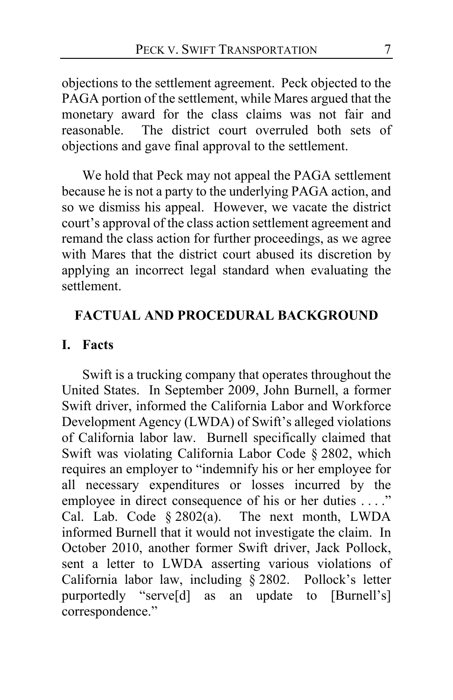objections to the settlement agreement. Peck objected to the PAGA portion of the settlement, while Mares argued that the monetary award for the class claims was not fair and reasonable. The district court overruled both sets of objections and gave final approval to the settlement.

We hold that Peck may not appeal the PAGA settlement because he is not a party to the underlying PAGA action, and so we dismiss his appeal. However, we vacate the district court's approval of the class action settlement agreement and remand the class action for further proceedings, as we agree with Mares that the district court abused its discretion by applying an incorrect legal standard when evaluating the settlement.

### **FACTUAL AND PROCEDURAL BACKGROUND**

### **I. Facts**

Swift is a trucking company that operates throughout the United States. In September 2009, John Burnell, a former Swift driver, informed the California Labor and Workforce Development Agency (LWDA) of Swift's alleged violations of California labor law. Burnell specifically claimed that Swift was violating California Labor Code § 2802, which requires an employer to "indemnify his or her employee for all necessary expenditures or losses incurred by the employee in direct consequence of his or her duties . . . ." Cal. Lab. Code § 2802(a). The next month, LWDA informed Burnell that it would not investigate the claim. In October 2010, another former Swift driver, Jack Pollock, sent a letter to LWDA asserting various violations of California labor law, including § 2802. Pollock's letter purportedly "serve[d] as an update to [Burnell's] correspondence."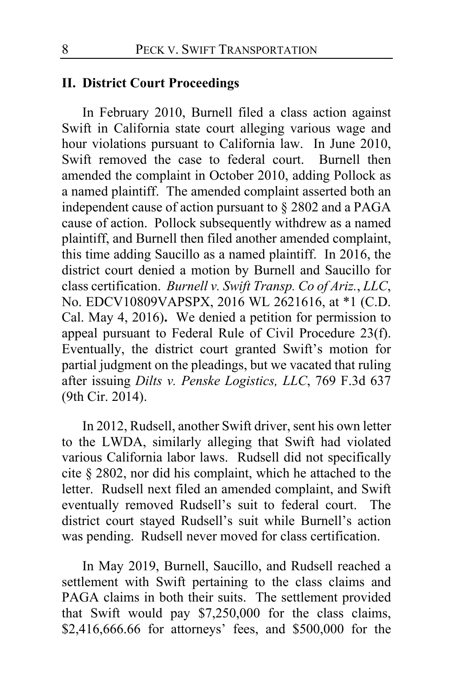### **II. District Court Proceedings**

In February 2010, Burnell filed a class action against Swift in California state court alleging various wage and hour violations pursuant to California law. In June 2010, Swift removed the case to federal court. Burnell then amended the complaint in October 2010, adding Pollock as a named plaintiff. The amended complaint asserted both an independent cause of action pursuant to § 2802 and a PAGA cause of action. Pollock subsequently withdrew as a named plaintiff, and Burnell then filed another amended complaint, this time adding Saucillo as a named plaintiff. In 2016, the district court denied a motion by Burnell and Saucillo for class certification. *Burnell v. Swift Transp. Co of Ariz.*, *LLC*, No. EDCV10809VAPSPX, 2016 WL 2621616, at \*1 (C.D. Cal. May 4, 2016)**.** We denied a petition for permission to appeal pursuant to Federal Rule of Civil Procedure 23(f). Eventually, the district court granted Swift's motion for partial judgment on the pleadings, but we vacated that ruling after issuing *Dilts v. Penske Logistics, LLC*, 769 F.3d 637 (9th Cir. 2014).

In 2012, Rudsell, another Swift driver, sent his own letter to the LWDA, similarly alleging that Swift had violated various California labor laws. Rudsell did not specifically cite § 2802, nor did his complaint, which he attached to the letter. Rudsell next filed an amended complaint, and Swift eventually removed Rudsell's suit to federal court.The district court stayed Rudsell's suit while Burnell's action was pending. Rudsell never moved for class certification.

In May 2019, Burnell, Saucillo, and Rudsell reached a settlement with Swift pertaining to the class claims and PAGA claims in both their suits. The settlement provided that Swift would pay \$7,250,000 for the class claims, \$2,416,666.66 for attorneys' fees, and \$500,000 for the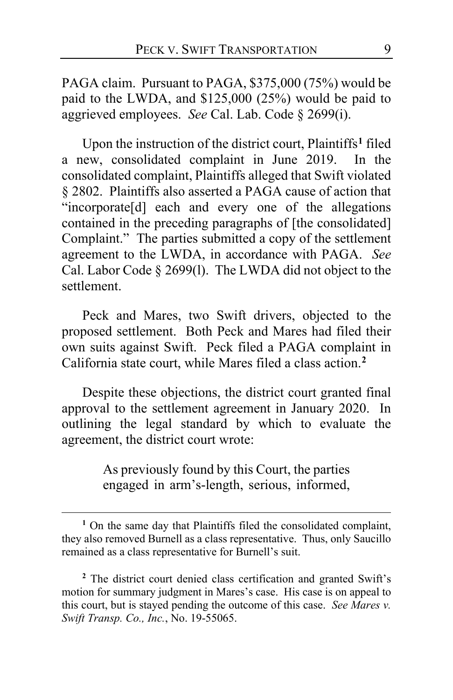PAGA claim. Pursuant to PAGA, \$375,000 (75%) would be paid to the LWDA, and \$125,000 (25%) would be paid to aggrieved employees. *See* Cal. Lab. Code § 2699(i).

Upon the instruction of the district court, Plaintiffs**[1](#page-8-0)** filed a new, consolidated complaint in June 2019. In the consolidated complaint, Plaintiffs alleged that Swift violated § 2802. Plaintiffs also asserted a PAGA cause of action that "incorporate[d] each and every one of the allegations contained in the preceding paragraphs of [the consolidated] Complaint." The parties submitted a copy of the settlement agreement to the LWDA, in accordance with PAGA. *See* Cal. Labor Code § 2699(l). The LWDA did not object to the settlement.

Peck and Mares, two Swift drivers, objected to the proposed settlement. Both Peck and Mares had filed their own suits against Swift. Peck filed a PAGA complaint in California state court, while Mares filed a class action.**[2](#page-8-1)**

Despite these objections, the district court granted final approval to the settlement agreement in January 2020. In outlining the legal standard by which to evaluate the agreement, the district court wrote:

> As previously found by this Court, the parties engaged in arm's-length, serious, informed,

<span id="page-8-0"></span>**<sup>1</sup>** On the same day that Plaintiffs filed the consolidated complaint, they also removed Burnell as a class representative. Thus, only Saucillo remained as a class representative for Burnell's suit.

<span id="page-8-1"></span>**<sup>2</sup>** The district court denied class certification and granted Swift's motion for summary judgment in Mares's case. His case is on appeal to this court, but is stayed pending the outcome of this case. *See Mares v. Swift Transp. Co., Inc.*, No. 19-55065.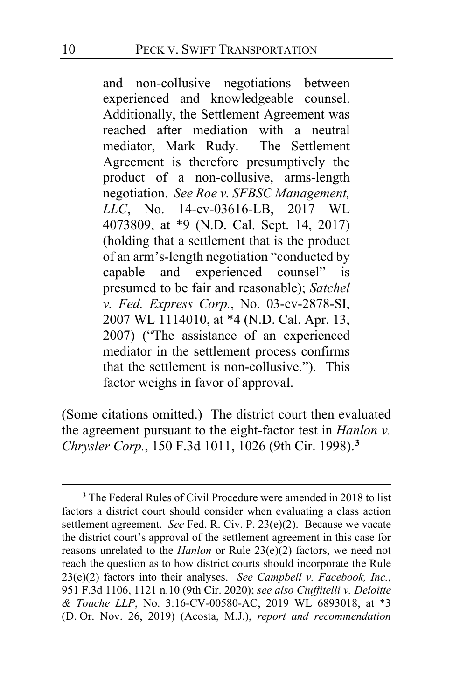and non-collusive negotiations between experienced and knowledgeable counsel. Additionally, the Settlement Agreement was reached after mediation with a neutral mediator, Mark Rudy. The Settlement Agreement is therefore presumptively the product of a non-collusive, arms-length negotiation. *See Roe v. SFBSC Management, LLC*, No. 14-cv-03616-LB, 2017 WL 4073809, at \*9 (N.D. Cal. Sept. 14, 2017) (holding that a settlement that is the product of an arm's-length negotiation "conducted by capable and experienced counsel" is presumed to be fair and reasonable); *Satchel v. Fed. Express Corp.*, No. 03-cv-2878-SI, 2007 WL 1114010, at \*4 (N.D. Cal. Apr. 13, 2007) ("The assistance of an experienced mediator in the settlement process confirms that the settlement is non-collusive."). This factor weighs in favor of approval.

(Some citations omitted.)The district court then evaluated the agreement pursuant to the eight-factor test in *Hanlon v. Chrysler Corp.*, 150 F.3d 1011, 1026 (9th Cir. 1998).**[3](#page-9-0)**

<span id="page-9-0"></span>**<sup>3</sup>** The Federal Rules of Civil Procedure were amended in 2018 to list factors a district court should consider when evaluating a class action settlement agreement. *See* Fed. R. Civ. P. 23(e)(2). Because we vacate the district court's approval of the settlement agreement in this case for reasons unrelated to the *Hanlon* or Rule 23(e)(2) factors, we need not reach the question as to how district courts should incorporate the Rule 23(e)(2) factors into their analyses. *See Campbell v. Facebook, Inc.*, 951 F.3d 1106, 1121 n.10 (9th Cir. 2020); *see also Ciuffitelli v. Deloitte & Touche LLP*, No. 3:16-CV-00580-AC, 2019 WL 6893018, at \*3 (D. Or. Nov. 26, 2019) (Acosta, M.J.), *report and recommendation*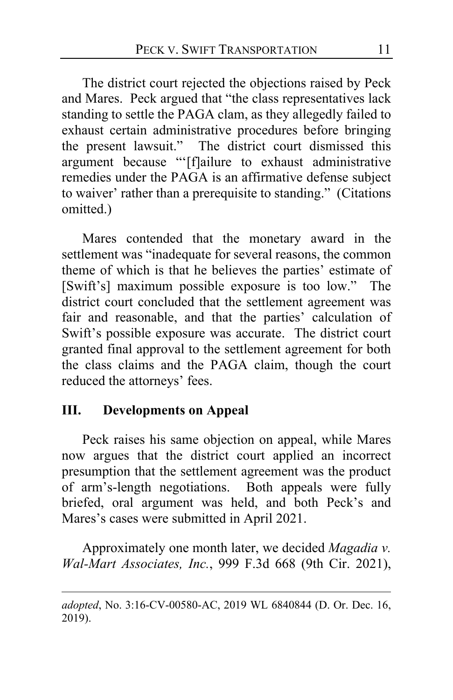The district court rejected the objections raised by Peck and Mares. Peck argued that "the class representatives lack standing to settle the PAGA clam, as they allegedly failed to exhaust certain administrative procedures before bringing the present lawsuit." The district court dismissed this argument because "'[f]ailure to exhaust administrative remedies under the PAGA is an affirmative defense subject to waiver' rather than a prerequisite to standing." (Citations omitted.)

Mares contended that the monetary award in the settlement was "inadequate for several reasons, the common theme of which is that he believes the parties' estimate of [Swift's] maximum possible exposure is too low." The district court concluded that the settlement agreement was fair and reasonable, and that the parties' calculation of Swift's possible exposure was accurate. The district court granted final approval to the settlement agreement for both the class claims and the PAGA claim, though the court reduced the attorneys' fees.

# **III. Developments on Appeal**

Peck raises his same objection on appeal, while Mares now argues that the district court applied an incorrect presumption that the settlement agreement was the product of arm's-length negotiations. Both appeals were fully briefed, oral argument was held, and both Peck's and Mares's cases were submitted in April 2021.

Approximately one month later, we decided *Magadia v. Wal-Mart Associates, Inc.*, 999 F.3d 668 (9th Cir. 2021),

*adopted*, No. 3:16-CV-00580-AC, 2019 WL 6840844 (D. Or. Dec. 16, 2019).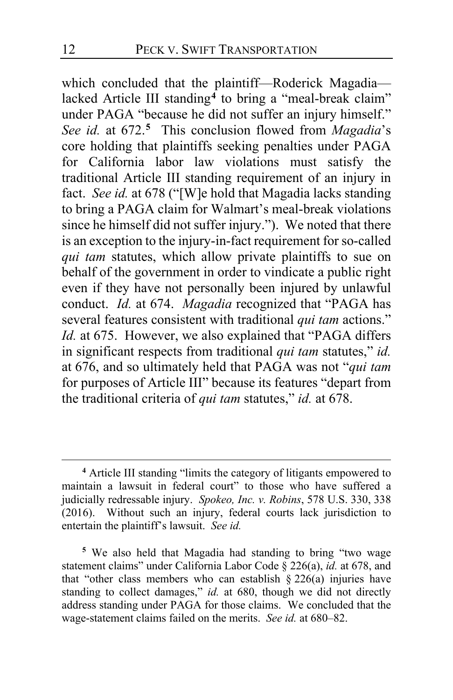which concluded that the plaintiff—Roderick Magadia— lacked Article III standing<sup>[4](#page-11-0)</sup> to bring a "meal-break claim" under PAGA "because he did not suffer an injury himself." *See id.* at 672.**[5](#page-11-1)** This conclusion flowed from *Magadia*'s core holding that plaintiffs seeking penalties under PAGA for California labor law violations must satisfy the traditional Article III standing requirement of an injury in fact. *See id.* at 678 ("[W]e hold that Magadia lacks standing to bring a PAGA claim for Walmart's meal-break violations since he himself did not suffer injury."). We noted that there is an exception to the injury-in-fact requirement for so-called *qui tam* statutes, which allow private plaintiffs to sue on behalf of the government in order to vindicate a public right even if they have not personally been injured by unlawful conduct. *Id.* at 674. *Magadia* recognized that "PAGA has several features consistent with traditional *qui tam* actions." *Id.* at 675. However, we also explained that "PAGA differs in significant respects from traditional *qui tam* statutes," *id.* at 676, and so ultimately held that PAGA was not "*qui tam* for purposes of Article III" because its features "depart from the traditional criteria of *qui tam* statutes," *id.* at 678.

<span id="page-11-0"></span>**<sup>4</sup>** Article III standing "limits the category of litigants empowered to maintain a lawsuit in federal court" to those who have suffered a judicially redressable injury. *Spokeo, Inc. v. Robins*, 578 U.S. 330, 338 (2016). Without such an injury, federal courts lack jurisdiction to entertain the plaintiff's lawsuit. *See id.*

<span id="page-11-1"></span>**<sup>5</sup>** We also held that Magadia had standing to bring "two wage statement claims" under California Labor Code § 226(a), *id.* at 678, and that "other class members who can establish  $\S 226(a)$  injuries have standing to collect damages," *id.* at 680, though we did not directly address standing under PAGA for those claims. We concluded that the wage-statement claims failed on the merits. *See id.* at 680–82.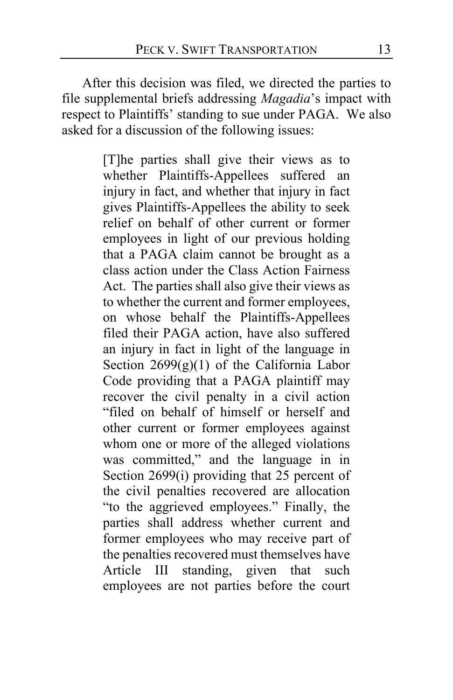After this decision was filed, we directed the parties to file supplemental briefs addressing *Magadia*'s impact with respect to Plaintiffs' standing to sue under PAGA. We also asked for a discussion of the following issues:

> [T]he parties shall give their views as to whether Plaintiffs-Appellees suffered an injury in fact, and whether that injury in fact gives Plaintiffs-Appellees the ability to seek relief on behalf of other current or former employees in light of our previous holding that a PAGA claim cannot be brought as a class action under the Class Action Fairness Act. The parties shall also give their views as to whether the current and former employees, on whose behalf the Plaintiffs-Appellees filed their PAGA action, have also suffered an injury in fact in light of the language in Section  $2699(g)(1)$  of the California Labor Code providing that a PAGA plaintiff may recover the civil penalty in a civil action "filed on behalf of himself or herself and other current or former employees against whom one or more of the alleged violations was committed," and the language in in Section 2699(i) providing that 25 percent of the civil penalties recovered are allocation "to the aggrieved employees." Finally, the parties shall address whether current and former employees who may receive part of the penalties recovered must themselves have Article III standing, given that such employees are not parties before the court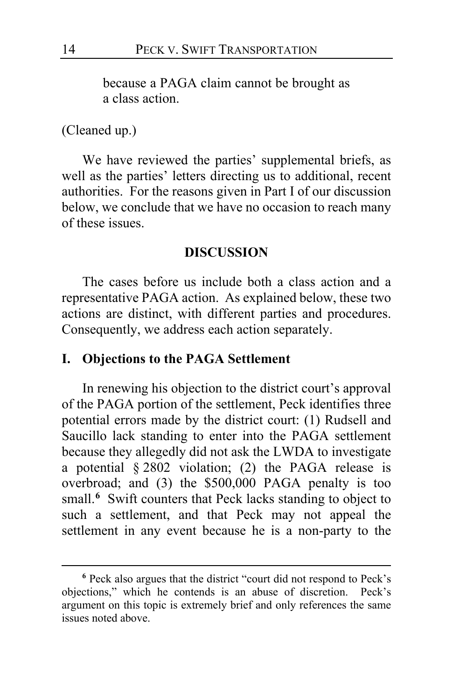because a PAGA claim cannot be brought as a class action.

#### (Cleaned up.)

We have reviewed the parties' supplemental briefs, as well as the parties' letters directing us to additional, recent authorities. For the reasons given in Part I of our discussion below, we conclude that we have no occasion to reach many of these issues.

#### **DISCUSSION**

The cases before us include both a class action and a representative PAGA action. As explained below, these two actions are distinct, with different parties and procedures. Consequently, we address each action separately.

### **I. Objections to the PAGA Settlement**

In renewing his objection to the district court's approval of the PAGA portion of the settlement, Peck identifies three potential errors made by the district court: (1) Rudsell and Saucillo lack standing to enter into the PAGA settlement because they allegedly did not ask the LWDA to investigate a potential § 2802 violation; (2) the PAGA release is overbroad; and (3) the \$500,000 PAGA penalty is too small.<sup>[6](#page-13-0)</sup> Swift counters that Peck lacks standing to object to such a settlement, and that Peck may not appeal the settlement in any event because he is a non-party to the

<span id="page-13-0"></span>**<sup>6</sup>** Peck also argues that the district "court did not respond to Peck's objections," which he contends is an abuse of discretion. Peck's argument on this topic is extremely brief and only references the same issues noted above.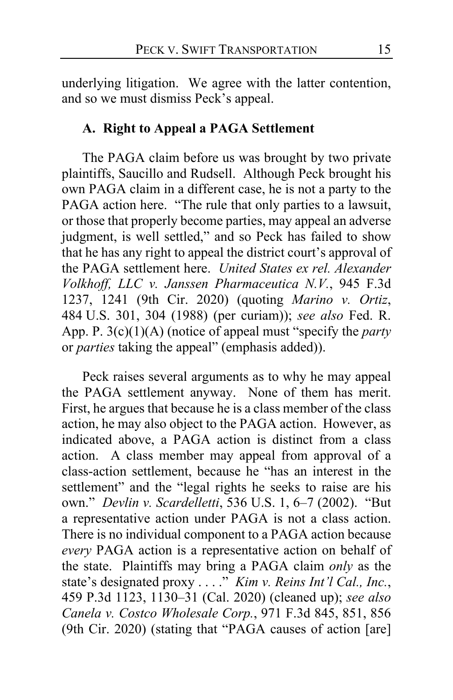underlying litigation. We agree with the latter contention, and so we must dismiss Peck's appeal.

# **A. Right to Appeal a PAGA Settlement**

The PAGA claim before us was brought by two private plaintiffs, Saucillo and Rudsell. Although Peck brought his own PAGA claim in a different case, he is not a party to the PAGA action here. "The rule that only parties to a lawsuit, or those that properly become parties, may appeal an adverse judgment, is well settled," and so Peck has failed to show that he has any right to appeal the district court's approval of the PAGA settlement here. *United States ex rel. Alexander Volkhoff, LLC v. Janssen Pharmaceutica N.V.*, 945 F.3d 1237, 1241 (9th Cir. 2020) (quoting *Marino v. Ortiz*, 484 U.S. 301, 304 (1988) (per curiam)); *see also* Fed. R. App. P. 3(c)(1)(A) (notice of appeal must "specify the *party* or *parties* taking the appeal" (emphasis added)).

Peck raises several arguments as to why he may appeal the PAGA settlement anyway. None of them has merit. First, he argues that because he is a class member of the class action, he may also object to the PAGA action. However, as indicated above, a PAGA action is distinct from a class action. A class member may appeal from approval of a class-action settlement, because he "has an interest in the settlement" and the "legal rights he seeks to raise are his own." *Devlin v. Scardelletti*, 536 U.S. 1, 6–7 (2002). "But a representative action under PAGA is not a class action. There is no individual component to a PAGA action because *every* PAGA action is a representative action on behalf of the state. Plaintiffs may bring a PAGA claim *only* as the state's designated proxy . . . ." *Kim v. Reins Int'l Cal., Inc.*, 459 P.3d 1123, 1130–31 (Cal. 2020) (cleaned up); *see also Canela v. Costco Wholesale Corp.*, 971 F.3d 845, 851, 856 (9th Cir. 2020) (stating that "PAGA causes of action [are]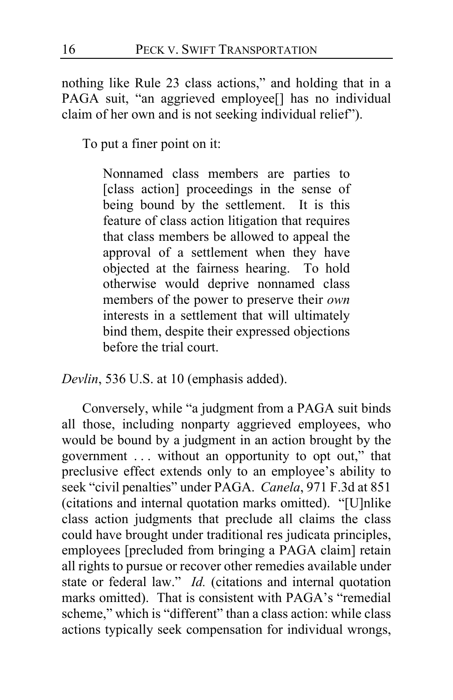nothing like Rule 23 class actions," and holding that in a PAGA suit, "an aggrieved employee[] has no individual claim of her own and is not seeking individual relief").

To put a finer point on it:

Nonnamed class members are parties to [class action] proceedings in the sense of being bound by the settlement. It is this feature of class action litigation that requires that class members be allowed to appeal the approval of a settlement when they have objected at the fairness hearing. To hold otherwise would deprive nonnamed class members of the power to preserve their *own* interests in a settlement that will ultimately bind them, despite their expressed objections before the trial court.

*Devlin*, 536 U.S. at 10 (emphasis added).

Conversely, while "a judgment from a PAGA suit binds all those, including nonparty aggrieved employees, who would be bound by a judgment in an action brought by the government . . . without an opportunity to opt out," that preclusive effect extends only to an employee's ability to seek "civil penalties" under PAGA. *Canela*, 971 F.3d at 851 (citations and internal quotation marks omitted). "[U]nlike class action judgments that preclude all claims the class could have brought under traditional res judicata principles, employees [precluded from bringing a PAGA claim] retain all rights to pursue or recover other remedies available under state or federal law." *Id.* (citations and internal quotation marks omitted). That is consistent with PAGA's "remedial scheme," which is "different" than a class action: while class actions typically seek compensation for individual wrongs,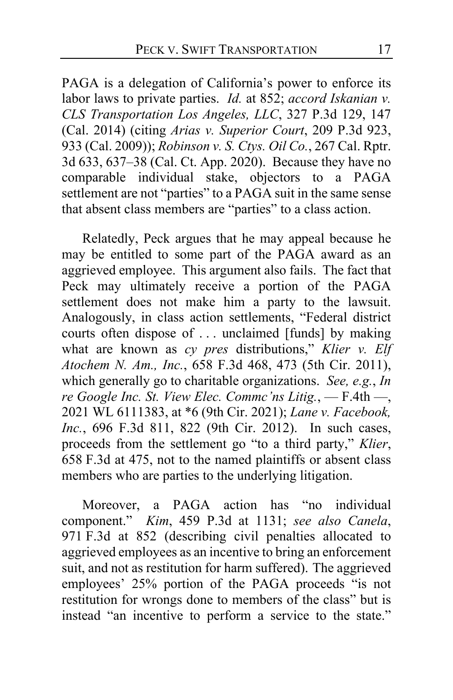PAGA is a delegation of California's power to enforce its labor laws to private parties. *Id.* at 852; *accord Iskanian v. CLS Transportation Los Angeles, LLC*, 327 P.3d 129, 147 (Cal. 2014) (citing *Arias v. Superior Court*, 209 P.3d 923, 933 (Cal. 2009)); *Robinson v. S. Ctys. Oil Co.*, 267 Cal. Rptr. 3d 633, 637–38 (Cal. Ct. App. 2020). Because they have no comparable individual stake, objectors to a PAGA settlement are not "parties" to a PAGA suit in the same sense that absent class members are "parties" to a class action.

Relatedly, Peck argues that he may appeal because he may be entitled to some part of the PAGA award as an aggrieved employee. This argument also fails. The fact that Peck may ultimately receive a portion of the PAGA settlement does not make him a party to the lawsuit. Analogously, in class action settlements, "Federal district courts often dispose of . . . unclaimed [funds] by making what are known as *cy pres* distributions," *Klier v. Elf Atochem N. Am., Inc.*, 658 F.3d 468, 473 (5th Cir. 2011), which generally go to charitable organizations. *See, e.g.*, *In re Google Inc. St. View Elec. Commc'ns Litig.*, — F.4th —, 2021 WL 6111383, at \*6 (9th Cir. 2021); *Lane v. Facebook, Inc.*, 696 F.3d 811, 822 (9th Cir. 2012). In such cases, proceeds from the settlement go "to a third party," *Klier*, 658 F.3d at 475, not to the named plaintiffs or absent class members who are parties to the underlying litigation.

Moreover, a PAGA action has "no individual component." *Kim*, 459 P.3d at 1131; *see also Canela*, 971 F.3d at 852 (describing civil penalties allocated to aggrieved employees as an incentive to bring an enforcement suit, and not as restitution for harm suffered).The aggrieved employees' 25% portion of the PAGA proceeds "is not restitution for wrongs done to members of the class" but is instead "an incentive to perform a service to the state."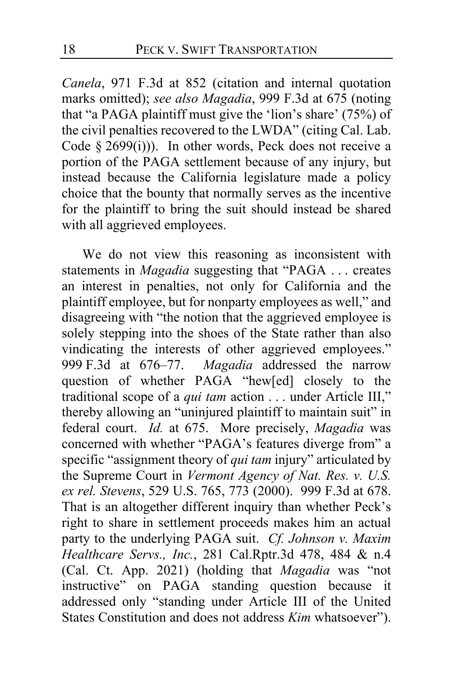*Canela*, 971 F.3d at 852 (citation and internal quotation marks omitted); *see also Magadia*, 999 F.3d at 675 (noting that "a PAGA plaintiff must give the 'lion's share' (75%) of the civil penalties recovered to the LWDA" (citing Cal. Lab. Code  $\S$  2699(i))). In other words, Peck does not receive a portion of the PAGA settlement because of any injury, but instead because the California legislature made a policy choice that the bounty that normally serves as the incentive for the plaintiff to bring the suit should instead be shared with all aggrieved employees.

We do not view this reasoning as inconsistent with statements in *Magadia* suggesting that "PAGA . . . creates an interest in penalties, not only for California and the plaintiff employee, but for nonparty employees as well," and disagreeing with "the notion that the aggrieved employee is solely stepping into the shoes of the State rather than also vindicating the interests of other aggrieved employees." 999 F.3d at 676–77. *Magadia* addressed the narrow question of whether PAGA "hew[ed] closely to the traditional scope of a *qui tam* action . . . under Article III," thereby allowing an "uninjured plaintiff to maintain suit" in federal court. *Id.* at 675. More precisely, *Magadia* was concerned with whether "PAGA's features diverge from" a specific "assignment theory of *qui tam* injury" articulated by the Supreme Court in *Vermont Agency of Nat. Res. v. U.S. ex rel. Stevens*, 529 U.S. 765, 773 (2000). 999 F.3d at 678. That is an altogether different inquiry than whether Peck's right to share in settlement proceeds makes him an actual party to the underlying PAGA suit. *Cf. Johnson v. Maxim Healthcare Servs., Inc.*, 281 Cal.Rptr.3d 478, 484 & n.4 (Cal. Ct. App. 2021) (holding that *Magadia* was "not instructive" on PAGA standing question because it addressed only "standing under Article III of the United States Constitution and does not address *Kim* whatsoever").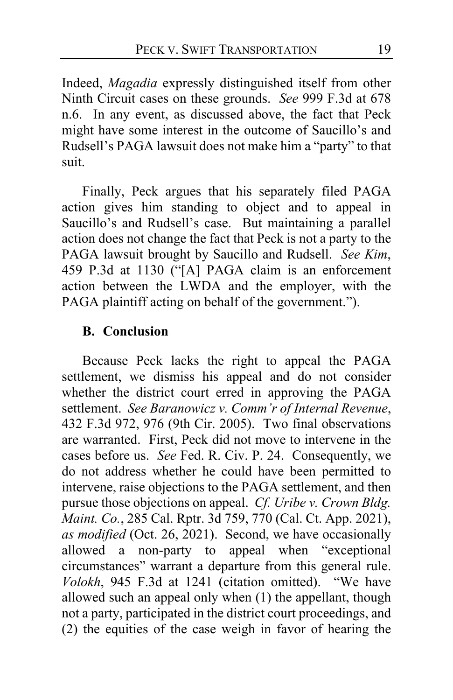Indeed, *Magadia* expressly distinguished itself from other Ninth Circuit cases on these grounds. *See* 999 F.3d at 678 n.6. In any event, as discussed above, the fact that Peck might have some interest in the outcome of Saucillo's and Rudsell's PAGA lawsuit does not make him a "party" to that suit.

Finally, Peck argues that his separately filed PAGA action gives him standing to object and to appeal in Saucillo's and Rudsell's case. But maintaining a parallel action does not change the fact that Peck is not a party to the PAGA lawsuit brought by Saucillo and Rudsell. *See Kim*, 459 P.3d at 1130 ("[A] PAGA claim is an enforcement action between the LWDA and the employer, with the PAGA plaintiff acting on behalf of the government.").

### **B. Conclusion**

Because Peck lacks the right to appeal the PAGA settlement, we dismiss his appeal and do not consider whether the district court erred in approving the PAGA settlement. *See Baranowicz v. Comm'r of Internal Revenue*, 432 F.3d 972, 976 (9th Cir. 2005). Two final observations are warranted. First, Peck did not move to intervene in the cases before us. *See* Fed. R. Civ. P. 24. Consequently, we do not address whether he could have been permitted to intervene, raise objections to the PAGA settlement, and then pursue those objections on appeal. *Cf. Uribe v. Crown Bldg. Maint. Co.*, 285 Cal. Rptr. 3d 759, 770 (Cal. Ct. App. 2021), *as modified* (Oct. 26, 2021). Second, we have occasionally allowed a non-party to appeal when "exceptional circumstances" warrant a departure from this general rule. *Volokh*, 945 F.3d at 1241 (citation omitted). "We have allowed such an appeal only when (1) the appellant, though not a party, participated in the district court proceedings, and (2) the equities of the case weigh in favor of hearing the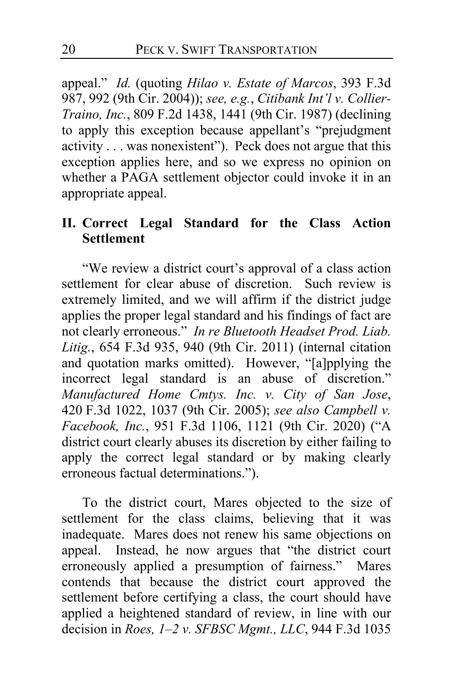appeal." *Id.* (quoting *Hilao v. Estate of Marcos*, 393 F.3d 987, 992 (9th Cir. 2004)); *see, e.g.*, *Citibank Int'l v. Collier-Traino, Inc.*, 809 F.2d 1438, 1441 (9th Cir. 1987) (declining to apply this exception because appellant's "prejudgment activity . . . was nonexistent"). Peck does not argue that this exception applies here, and so we express no opinion on whether a PAGA settlement objector could invoke it in an appropriate appeal.

# **II. Correct Legal Standard for the Class Action Settlement**

"We review a district court's approval of a class action settlement for clear abuse of discretion. Such review is extremely limited, and we will affirm if the district judge applies the proper legal standard and his findings of fact are not clearly erroneous." *In re Bluetooth Headset Prod. Liab. Litig.*, 654 F.3d 935, 940 (9th Cir. 2011) (internal citation and quotation marks omitted). However, "[a]pplying the incorrect legal standard is an abuse of discretion." *Manufactured Home Cmtys. Inc. v. City of San Jose*, 420 F.3d 1022, 1037 (9th Cir. 2005); *see also Campbell v. Facebook, Inc.*, 951 F.3d 1106, 1121 (9th Cir. 2020) ("A district court clearly abuses its discretion by either failing to apply the correct legal standard or by making clearly erroneous factual determinations.").

To the district court, Mares objected to the size of settlement for the class claims, believing that it was inadequate. Mares does not renew his same objections on appeal. Instead, he now argues that "the district court erroneously applied a presumption of fairness." Mares contends that because the district court approved the settlement before certifying a class, the court should have applied a heightened standard of review, in line with our decision in *Roes, 1–2 v. SFBSC Mgmt., LLC*, 944 F.3d 1035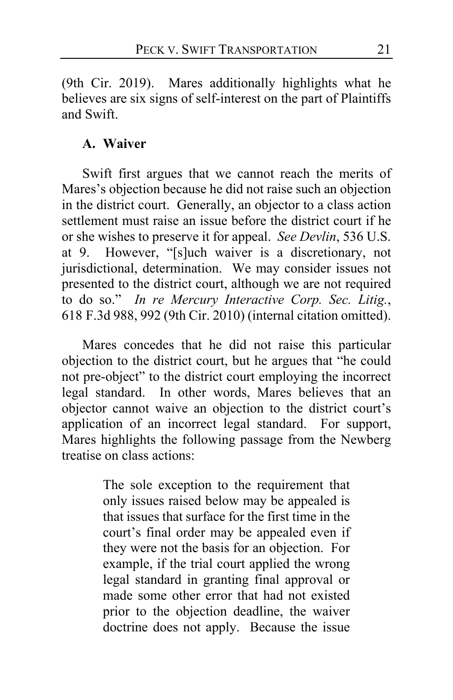(9th Cir. 2019). Mares additionally highlights what he believes are six signs of self-interest on the part of Plaintiffs and Swift.

# **A. Waiver**

Swift first argues that we cannot reach the merits of Mares's objection because he did not raise such an objection in the district court. Generally, an objector to a class action settlement must raise an issue before the district court if he or she wishes to preserve it for appeal. *See Devlin*, 536 U.S. at 9. However, "[s]uch waiver is a discretionary, not jurisdictional, determination. We may consider issues not presented to the district court, although we are not required to do so." *In re Mercury Interactive Corp. Sec. Litig.*, 618 F.3d 988, 992 (9th Cir. 2010) (internal citation omitted).

Mares concedes that he did not raise this particular objection to the district court, but he argues that "he could not pre-object" to the district court employing the incorrect legal standard. In other words, Mares believes that an objector cannot waive an objection to the district court's application of an incorrect legal standard. For support, Mares highlights the following passage from the Newberg treatise on class actions:

> The sole exception to the requirement that only issues raised below may be appealed is that issues that surface for the first time in the court's final order may be appealed even if they were not the basis for an objection. For example, if the trial court applied the wrong legal standard in granting final approval or made some other error that had not existed prior to the objection deadline, the waiver doctrine does not apply. Because the issue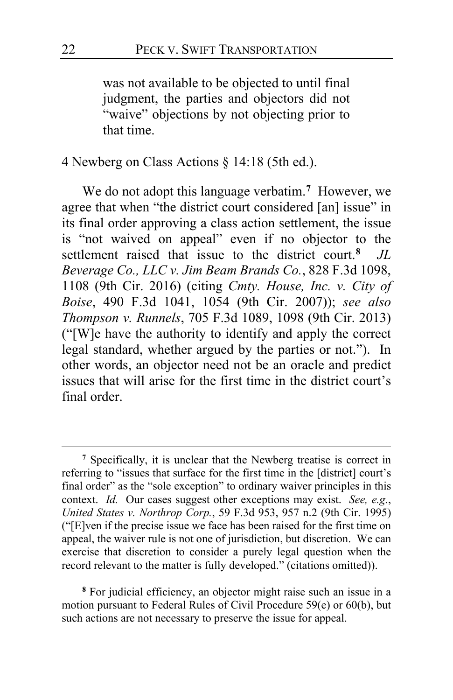was not available to be objected to until final judgment, the parties and objectors did not "waive" objections by not objecting prior to that time.

4 Newberg on Class Actions § 14:18 (5th ed.).

We do not adopt this language verbatim.**[7](#page-21-0)** However, we agree that when "the district court considered [an] issue" in its final order approving a class action settlement, the issue is "not waived on appeal" even if no objector to the settlement raised that issue to the district court.**[8](#page-21-1)** *JL Beverage Co., LLC v. Jim Beam Brands Co.*, 828 F.3d 1098, 1108 (9th Cir. 2016) (citing *Cmty. House, Inc. v. City of Boise*, 490 F.3d 1041, 1054 (9th Cir. 2007)); *see also Thompson v. Runnels*, 705 F.3d 1089, 1098 (9th Cir. 2013) ("[W]e have the authority to identify and apply the correct legal standard, whether argued by the parties or not."). In other words, an objector need not be an oracle and predict issues that will arise for the first time in the district court's final order.

<span id="page-21-1"></span>**<sup>8</sup>** For judicial efficiency, an objector might raise such an issue in a motion pursuant to Federal Rules of Civil Procedure 59(e) or 60(b), but such actions are not necessary to preserve the issue for appeal.

<span id="page-21-0"></span>**<sup>7</sup>** Specifically, it is unclear that the Newberg treatise is correct in referring to "issues that surface for the first time in the [district] court's final order" as the "sole exception" to ordinary waiver principles in this context. *Id.* Our cases suggest other exceptions may exist. *See, e.g.*, *United States v. Northrop Corp.*, 59 F.3d 953, 957 n.2 (9th Cir. 1995) ("[E]ven if the precise issue we face has been raised for the first time on appeal, the waiver rule is not one of jurisdiction, but discretion. We can exercise that discretion to consider a purely legal question when the record relevant to the matter is fully developed." (citations omitted)).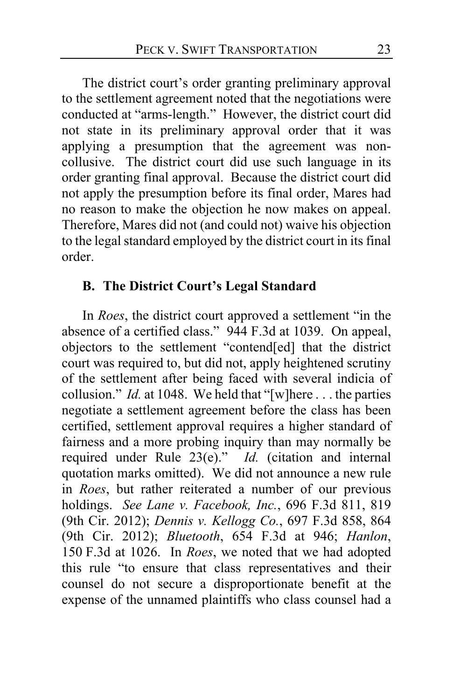The district court's order granting preliminary approval to the settlement agreement noted that the negotiations were conducted at "arms-length." However, the district court did not state in its preliminary approval order that it was applying a presumption that the agreement was noncollusive. The district court did use such language in its order granting final approval. Because the district court did not apply the presumption before its final order, Mares had no reason to make the objection he now makes on appeal. Therefore, Mares did not (and could not) waive his objection to the legal standard employed by the district court in its final order.

# **B. The District Court's Legal Standard**

In *Roes*, the district court approved a settlement "in the absence of a certified class." 944 F.3d at 1039. On appeal, objectors to the settlement "contend[ed] that the district court was required to, but did not, apply heightened scrutiny of the settlement after being faced with several indicia of collusion." *Id.* at 1048. We held that "[w]here . . . the parties negotiate a settlement agreement before the class has been certified, settlement approval requires a higher standard of fairness and a more probing inquiry than may normally be required under Rule 23(e)." *Id.* (citation and internal quotation marks omitted). We did not announce a new rule in *Roes*, but rather reiterated a number of our previous holdings. *See Lane v. Facebook, Inc.*, 696 F.3d 811, 819 (9th Cir. 2012); *Dennis v. Kellogg Co.*, 697 F.3d 858, 864 (9th Cir. 2012); *Bluetooth*, 654 F.3d at 946; *Hanlon*, 150 F.3d at 1026. In *Roes*, we noted that we had adopted this rule "to ensure that class representatives and their counsel do not secure a disproportionate benefit at the expense of the unnamed plaintiffs who class counsel had a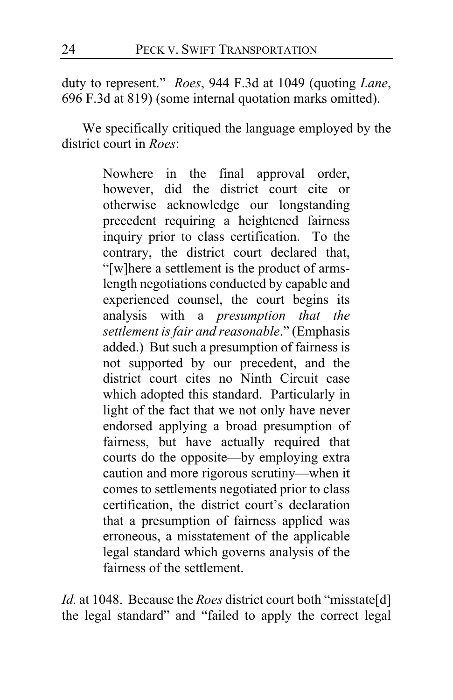duty to represent." *Roes*, 944 F.3d at 1049 (quoting *Lane*, 696 F.3d at 819) (some internal quotation marks omitted).

We specifically critiqued the language employed by the district court in *Roes*:

> Nowhere in the final approval order, however, did the district court cite or otherwise acknowledge our longstanding precedent requiring a heightened fairness inquiry prior to class certification. To the contrary, the district court declared that, "[w]here a settlement is the product of armslength negotiations conducted by capable and experienced counsel, the court begins its analysis with a *presumption that the settlement is fair and reasonable*." (Emphasis added.) But such a presumption of fairness is not supported by our precedent, and the district court cites no Ninth Circuit case which adopted this standard. Particularly in light of the fact that we not only have never endorsed applying a broad presumption of fairness, but have actually required that courts do the opposite—by employing extra caution and more rigorous scrutiny—when it comes to settlements negotiated prior to class certification, the district court's declaration that a presumption of fairness applied was erroneous, a misstatement of the applicable legal standard which governs analysis of the fairness of the settlement.

*Id.* at 1048. Because the *Roes* district court both "misstate[d] the legal standard" and "failed to apply the correct legal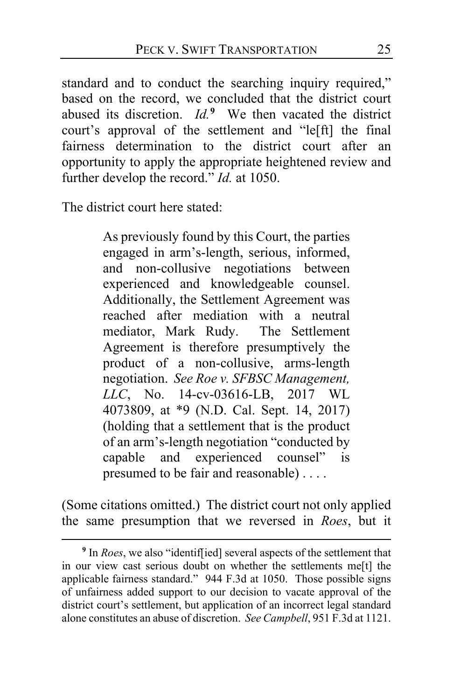standard and to conduct the searching inquiry required," based on the record, we concluded that the district court abused its discretion. *Id.***[9](#page-24-0)** We then vacated the district court's approval of the settlement and "le[ft] the final fairness determination to the district court after an opportunity to apply the appropriate heightened review and further develop the record." *Id.* at 1050.

The district court here stated:

As previously found by this Court, the parties engaged in arm's-length, serious, informed, and non-collusive negotiations between experienced and knowledgeable counsel. Additionally, the Settlement Agreement was reached after mediation with a neutral mediator, Mark Rudy. The Settlement Agreement is therefore presumptively the product of a non-collusive, arms-length negotiation. *See Roe v. SFBSC Management, LLC*, No. 14-cv-03616-LB, 2017 WL 4073809, at \*9 (N.D. Cal. Sept. 14, 2017) (holding that a settlement that is the product of an arm's-length negotiation "conducted by capable and experienced counsel" is presumed to be fair and reasonable) . . . .

(Some citations omitted.) The district court not only applied the same presumption that we reversed in *Roes*, but it

<span id="page-24-0"></span>**<sup>9</sup>** In *Roes*, we also "identif[ied] several aspects of the settlement that in our view cast serious doubt on whether the settlements me[t] the applicable fairness standard." 944 F.3d at 1050. Those possible signs of unfairness added support to our decision to vacate approval of the district court's settlement, but application of an incorrect legal standard alone constitutes an abuse of discretion. *See Campbell*, 951 F.3d at 1121.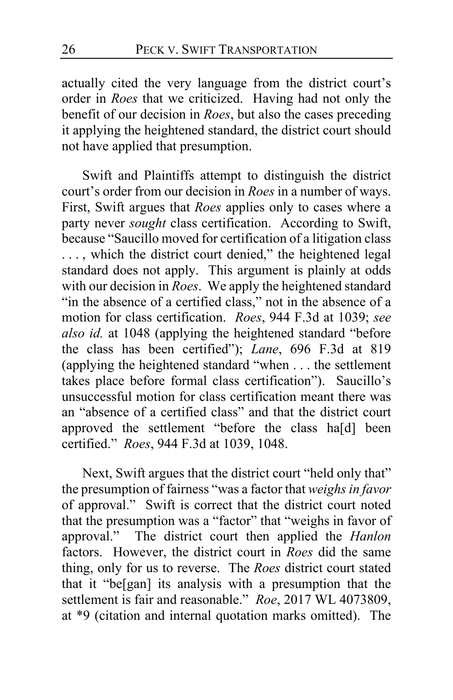actually cited the very language from the district court's order in *Roes* that we criticized. Having had not only the benefit of our decision in *Roes*, but also the cases preceding it applying the heightened standard, the district court should not have applied that presumption.

Swift and Plaintiffs attempt to distinguish the district court's order from our decision in *Roes* in a number of ways. First, Swift argues that *Roes* applies only to cases where a party never *sought* class certification. According to Swift, because "Saucillo moved for certification of a litigation class ..., which the district court denied," the heightened legal standard does not apply. This argument is plainly at odds with our decision in *Roes*. We apply the heightened standard "in the absence of a certified class," not in the absence of a motion for class certification. *Roes*, 944 F.3d at 1039; *see also id.* at 1048 (applying the heightened standard "before the class has been certified"); *Lane*, 696 F.3d at 819 (applying the heightened standard "when . . . the settlement takes place before formal class certification"). Saucillo's unsuccessful motion for class certification meant there was an "absence of a certified class" and that the district court approved the settlement "before the class ha[d] been certified." *Roes*, 944 F.3d at 1039, 1048.

Next, Swift argues that the district court "held only that" the presumption of fairness "was a factor that *weighs in favor* of approval." Swift is correct that the district court noted that the presumption was a "factor" that "weighs in favor of approval." The district court then applied the *Hanlon* factors. However, the district court in *Roes* did the same thing, only for us to reverse. The *Roes* district court stated that it "be[gan] its analysis with a presumption that the settlement is fair and reasonable." *Roe*, 2017 WL 4073809, at \*9 (citation and internal quotation marks omitted). The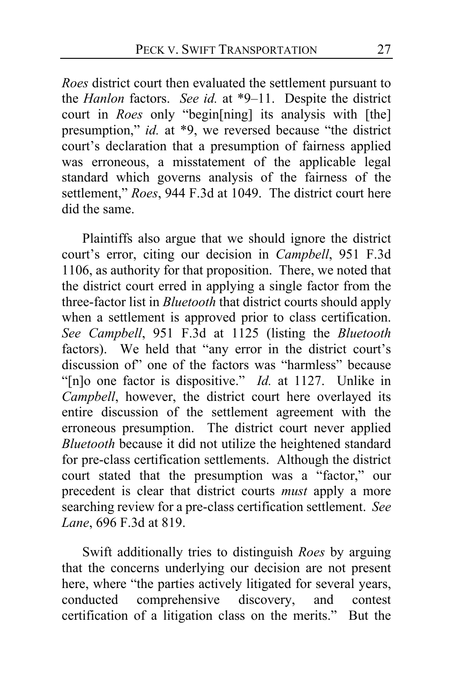*Roes* district court then evaluated the settlement pursuant to the *Hanlon* factors. *See id.* at \*9–11. Despite the district court in *Roes* only "begin[ning] its analysis with [the] presumption," *id.* at \*9, we reversed because "the district court's declaration that a presumption of fairness applied was erroneous, a misstatement of the applicable legal standard which governs analysis of the fairness of the settlement," *Roes*, 944 F.3d at 1049. The district court here did the same.

Plaintiffs also argue that we should ignore the district court's error, citing our decision in *Campbell*, 951 F.3d 1106, as authority for that proposition. There, we noted that the district court erred in applying a single factor from the three-factor list in *Bluetooth* that district courts should apply when a settlement is approved prior to class certification. *See Campbell*, 951 F.3d at 1125 (listing the *Bluetooth* factors). We held that "any error in the district court's discussion of" one of the factors was "harmless" because "[n]o one factor is dispositive." *Id.* at 1127. Unlike in *Campbell*, however, the district court here overlayed its entire discussion of the settlement agreement with the erroneous presumption. The district court never applied *Bluetooth* because it did not utilize the heightened standard for pre-class certification settlements. Although the district court stated that the presumption was a "factor," our precedent is clear that district courts *must* apply a more searching review for a pre-class certification settlement. *See Lane*, 696 F.3d at 819.

Swift additionally tries to distinguish *Roes* by arguing that the concerns underlying our decision are not present here, where "the parties actively litigated for several years, conducted comprehensive discovery, and contest certification of a litigation class on the merits." But the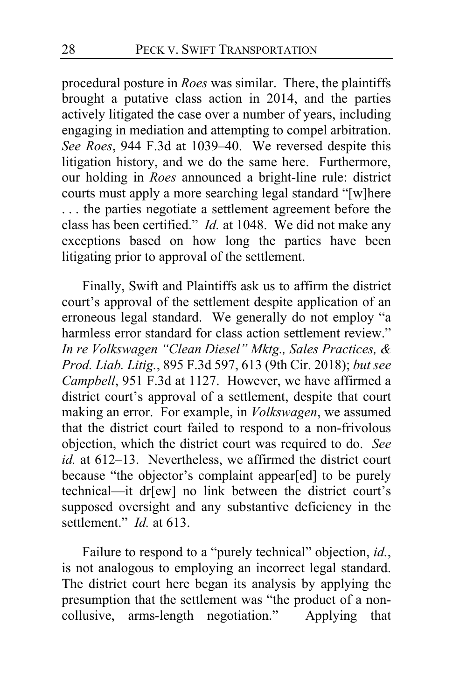procedural posture in *Roes* was similar. There, the plaintiffs brought a putative class action in 2014, and the parties actively litigated the case over a number of years, including engaging in mediation and attempting to compel arbitration. *See Roes*, 944 F.3d at 1039–40. We reversed despite this litigation history, and we do the same here. Furthermore, our holding in *Roes* announced a bright-line rule: district courts must apply a more searching legal standard "[w]here . . . the parties negotiate a settlement agreement before the class has been certified." *Id.* at 1048. We did not make any exceptions based on how long the parties have been litigating prior to approval of the settlement.

Finally, Swift and Plaintiffs ask us to affirm the district court's approval of the settlement despite application of an erroneous legal standard. We generally do not employ "a harmless error standard for class action settlement review." *In re Volkswagen "Clean Diesel" Mktg., Sales Practices, & Prod. Liab. Litig.*, 895 F.3d 597, 613 (9th Cir. 2018); *but see Campbell*, 951 F.3d at 1127. However, we have affirmed a district court's approval of a settlement, despite that court making an error. For example, in *Volkswagen*, we assumed that the district court failed to respond to a non-frivolous objection, which the district court was required to do. *See id.* at 612–13. Nevertheless, we affirmed the district court because "the objector's complaint appear[ed] to be purely technical—it dr[ew] no link between the district court's supposed oversight and any substantive deficiency in the settlement." *Id.* at 613.

Failure to respond to a "purely technical" objection, *id.*, is not analogous to employing an incorrect legal standard. The district court here began its analysis by applying the presumption that the settlement was "the product of a noncollusive, arms-length negotiation." Applying that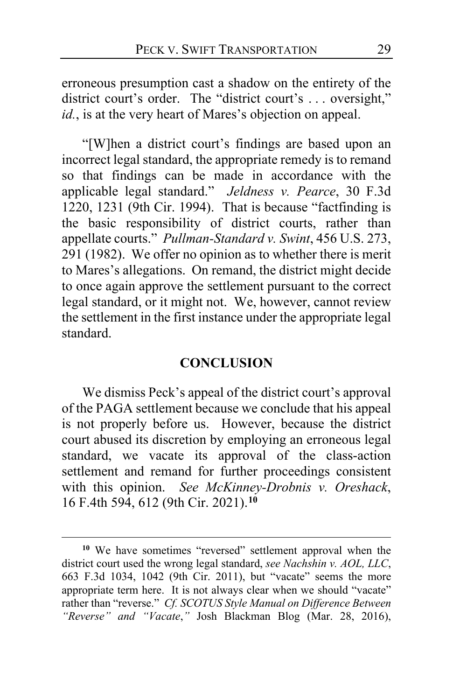erroneous presumption cast a shadow on the entirety of the district court's order. The "district court's ... oversight," *id.*, is at the very heart of Mares's objection on appeal.

"[W]hen a district court's findings are based upon an incorrect legal standard, the appropriate remedy is to remand so that findings can be made in accordance with the applicable legal standard." *Jeldness v. Pearce*, 30 F.3d 1220, 1231 (9th Cir. 1994). That is because "factfinding is the basic responsibility of district courts, rather than appellate courts." *Pullman-Standard v. Swint*, 456 U.S. 273, 291 (1982). We offer no opinion as to whether there is merit to Mares's allegations. On remand, the district might decide to once again approve the settlement pursuant to the correct legal standard, or it might not. We, however, cannot review the settlement in the first instance under the appropriate legal standard.

#### **CONCLUSION**

We dismiss Peck's appeal of the district court's approval of the PAGA settlement because we conclude that his appeal is not properly before us. However, because the district court abused its discretion by employing an erroneous legal standard, we vacate its approval of the class-action settlement and remand for further proceedings consistent with this opinion. *See McKinney-Drobnis v. Oreshack*, 16 F.4th 594, 612 (9th Cir. 2021).**[10](#page-28-0)**

<span id="page-28-0"></span>**<sup>10</sup>** We have sometimes "reversed" settlement approval when the district court used the wrong legal standard, *see Nachshin v. AOL, LLC*, 663 F.3d 1034, 1042 (9th Cir. 2011), but "vacate" seems the more appropriate term here. It is not always clear when we should "vacate" rather than "reverse." *Cf. SCOTUS Style Manual on Difference Between "Reverse" and "Vacate*,*"* Josh Blackman Blog (Mar. 28, 2016),